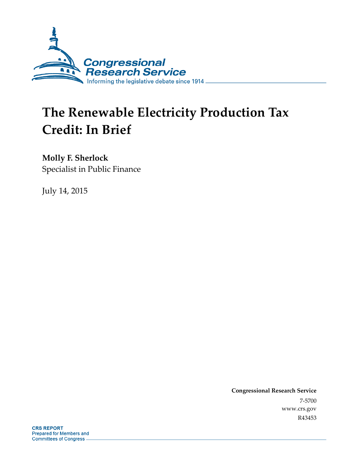

# **The Renewable Electricity Production Tax Credit: In Brief**

### **Molly F. Sherlock**

Specialist in Public Finance

July 14, 2015

**Congressional Research Service**  7-5700 www.crs.gov R43453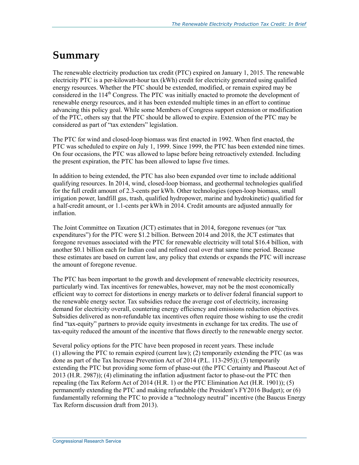### **Summary**

The renewable electricity production tax credit (PTC) expired on January 1, 2015. The renewable electricity PTC is a per-kilowatt-hour tax (kWh) credit for electricity generated using qualified energy resources. Whether the PTC should be extended, modified, or remain expired may be considered in the  $114<sup>th</sup>$  Congress. The PTC was initially enacted to promote the development of renewable energy resources, and it has been extended multiple times in an effort to continue advancing this policy goal. While some Members of Congress support extension or modification of the PTC, others say that the PTC should be allowed to expire. Extension of the PTC may be considered as part of "tax extenders" legislation.

The PTC for wind and closed-loop biomass was first enacted in 1992. When first enacted, the PTC was scheduled to expire on July 1, 1999. Since 1999, the PTC has been extended nine times. On four occasions, the PTC was allowed to lapse before being retroactively extended. Including the present expiration, the PTC has been allowed to lapse five times.

In addition to being extended, the PTC has also been expanded over time to include additional qualifying resources. In 2014, wind, closed-loop biomass, and geothermal technologies qualified for the full credit amount of 2.3-cents per kWh. Other technologies (open-loop biomass, small irrigation power, landfill gas, trash, qualified hydropower, marine and hydrokinetic) qualified for a half-credit amount, or 1.1-cents per kWh in 2014. Credit amounts are adjusted annually for inflation.

The Joint Committee on Taxation (JCT) estimates that in 2014, foregone revenues (or "tax expenditures") for the PTC were \$1.2 billion. Between 2014 and 2018, the JCT estimates that foregone revenues associated with the PTC for renewable electricity will total \$16.4 billion, with another \$0.1 billion each for Indian coal and refined coal over that same time period. Because these estimates are based on current law, any policy that extends or expands the PTC will increase the amount of foregone revenue.

The PTC has been important to the growth and development of renewable electricity resources, particularly wind. Tax incentives for renewables, however, may not be the most economically efficient way to correct for distortions in energy markets or to deliver federal financial support to the renewable energy sector. Tax subsidies reduce the average cost of electricity, increasing demand for electricity overall, countering energy efficiency and emissions reduction objectives. Subsidies delivered as non-refundable tax incentives often require those wishing to use the credit find "tax-equity" partners to provide equity investments in exchange for tax credits. The use of tax-equity reduced the amount of the incentive that flows directly to the renewable energy sector.

Several policy options for the PTC have been proposed in recent years. These include (1) allowing the PTC to remain expired (current law); (2) temporarily extending the PTC (as was done as part of the Tax Increase Prevention Act of 2014 (P.L. 113-295)); (3) temporarily extending the PTC but providing some form of phase-out (the PTC Certainty and Phaseout Act of 2013 (H.R. 2987)); (4) eliminating the inflation adjustment factor to phase-out the PTC then repealing (the Tax Reform Act of 2014 (H.R. 1) or the PTC Elimination Act (H.R. 1901)); (5) permanently extending the PTC and making refundable (the President's FY2016 Budget); or (6) fundamentally reforming the PTC to provide a "technology neutral" incentive (the Baucus Energy Tax Reform discussion draft from 2013).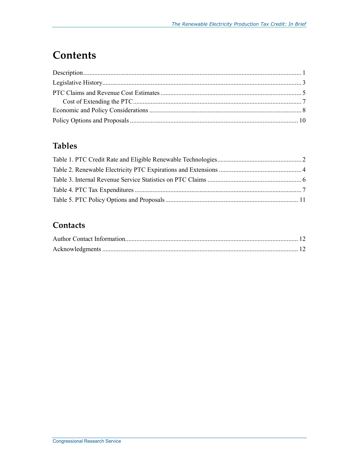## **Contents**

### **Tables**

### Contacts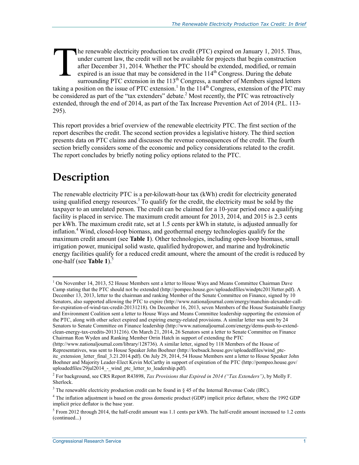he renewable electricity production tax credit (PTC) expired on January 1, 2015. Thus, under current law, the credit will not be available for projects that begin construction after December 31, 2014. Whether the PTC should be extended, modified, or remain expired is an issue that may be considered in the  $114<sup>th</sup>$  Congress. During the debate surrounding PTC extension in the  $113<sup>th</sup>$  Congress, a number of Members signed letters taking a position on the issue of PTC extension.<sup>1</sup> In the 114<sup>th</sup> Congress, extension of the PTC may be considered as part of the "tax extenders" debate.<sup>2</sup> Most recently, the PTC was retroactively extended, through the end of 2014, as part of the Tax Increase Prevention Act of 2014 (P.L. 113- 295). T

This report provides a brief overview of the renewable electricity PTC. The first section of the report describes the credit. The second section provides a legislative history. The third section presents data on PTC claims and discusses the revenue consequences of the credit. The fourth section briefly considers some of the economic and policy considerations related to the credit. The report concludes by briefly noting policy options related to the PTC.

## **Description**

The renewable electricity PTC is a per-kilowatt-hour tax (kWh) credit for electricity generated using qualified energy resources.<sup>3</sup> To qualify for the credit, the electricity must be sold by the taxpayer to an unrelated person. The credit can be claimed for a 10-year period once a qualifying facility is placed in service. The maximum credit amount for 2013, 2014, and 2015 is 2.3 cents per kWh. The maximum credit rate, set at 1.5 cents per kWh in statute, is adjusted annually for inflation.4 Wind, closed-loop biomass, and geothermal energy technologies qualify for the maximum credit amount (see **Table 1**). Other technologies, including open-loop biomass, small irrigation power, municipal solid waste, qualified hydropower, and marine and hydrokinetic energy facilities qualify for a reduced credit amount, where the amount of the credit is reduced by one-half (see **Table 1**).<sup>5</sup>

<sup>&</sup>lt;u>.</u> <sup>1</sup> On November 14, 2013, 52 House Members sent a letter to House Ways and Means Committee Chairman Dave Camp stating that the PTC should not be extended (http://pompeo.house.gov/uploadedfiles/windptc2013letter.pdf). A December 13, 2013, letter to the chairman and ranking Member of the Senate Committee on Finance, signed by 10 Senators, also supported allowing the PTC to expire (http://www.nationaljournal.com/energy/manchin-alexander-callfor-expiration-of-wind-tax-credit-20131218). On December 16, 2013, seven Members of the House Sustainable Energy and Environment Coalition sent a letter to House Ways and Means Committee leadership supporting the extension of the PTC, along with other select expired and expiring energy-related provisions. A similar letter was sent by 24 Senators to Senate Committee on Finance leadership (http://www.nationaljournal.com/energy/dems-push-to-extendclean-energy-tax-credits-20131216). On March 21, 2014, 26 Senators sent a letter to Senate Committee on Finance Chairman Ron Wyden and Ranking Member Orrin Hatch in support of extending the PTC

<sup>(</sup>http://www.nationaljournal.com/library/128736). A similar letter, signed by 118 Members of the House of Representatives, was sent to House Speaker John Boehner (http://loebsack.house.gov/uploadedfiles/wind\_ptcitc\_extension\_letter\_final\_3.21.2014.pdf). On July 29, 2014, 54 House Members sent a letter to House Speaker John Boehner and Majority Leader-Elect Kevin McCarthy in support of expiration of the PTC (http://pompeo.house.gov/ uploadedfiles/29jul2014 - wind ptc letter to leadership.pdf).

<sup>2</sup> For background, see CRS Report R43898, *Tax Provisions that Expired in 2014 ("Tax Extenders")*, by Molly F. Sherlock.

<sup>&</sup>lt;sup>3</sup> The renewable electricity production credit can be found in  $\S$  45 of the Internal Revenue Code (IRC).

<sup>&</sup>lt;sup>4</sup> The inflation adjustment is based on the gross domestic product (GDP) implicit price deflator, where the 1992 GDP implicit price deflator is the base year.

 $<sup>5</sup>$  From 2012 through 2014, the half-credit amount was 1.1 cents per kWh. The half-credit amount increased to 1.2 cents</sup> (continued...)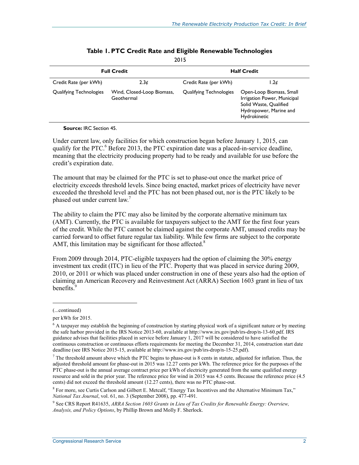|                         | <b>Full Credit</b>                       | <b>Half Credit</b>             |                                                                                                                             |  |  |
|-------------------------|------------------------------------------|--------------------------------|-----------------------------------------------------------------------------------------------------------------------------|--|--|
| Credit Rate (per kWh)   | 2.3 <sub>0</sub>                         | Credit Rate (per kWh)          | 1.2d                                                                                                                        |  |  |
| Qualifying Technologies | Wind, Closed-Loop Biomass,<br>Geothermal | <b>Qualifying Technologies</b> | Open-Loop Biomass, Small<br>Irrigation Power, Municipal<br>Solid Waste, Qualified<br>Hydropower, Marine and<br>Hydrokinetic |  |  |

#### **Table 1. PTC Credit Rate and Eligible Renewable Technologies**

2015

#### **Source:** IRC Section 45.

Under current law, only facilities for which construction began before January 1, 2015, can qualify for the PTC.<sup>6</sup> Before 2013, the PTC expiration date was a placed-in-service deadline, meaning that the electricity producing property had to be ready and available for use before the credit's expiration date.

The amount that may be claimed for the PTC is set to phase-out once the market price of electricity exceeds threshold levels. Since being enacted, market prices of electricity have never exceeded the threshold level and the PTC has not been phased out, nor is the PTC likely to be phased out under current law.<sup>7</sup>

The ability to claim the PTC may also be limited by the corporate alternative minimum tax (AMT). Currently, the PTC is available for taxpayers subject to the AMT for the first four years of the credit. While the PTC cannot be claimed against the corporate AMT, unused credits may be carried forward to offset future regular tax liability. While few firms are subject to the corporate AMT, this limitation may be significant for those affected. $8$ 

From 2009 through 2014, PTC-eligible taxpayers had the option of claiming the 30% energy investment tax credit (ITC) in lieu of the PTC. Property that was placed in service during 2009, 2010, or 2011 or which was placed under construction in one of these years also had the option of claiming an American Recovery and Reinvestment Act (ARRA) Section 1603 grant in lieu of tax benefits.<sup>9</sup>

 $\overline{a}$ 

<sup>(...</sup>continued)

per kWh for 2015.

<sup>&</sup>lt;sup>6</sup> A taxpayer may establish the beginning of construction by starting physical work of a significant nature or by meeting the safe harbor provided in the IRS Notice 2013-60, available at http://www.irs.gov/pub/irs-drop/n-13-60.pdf. IRS guidance advises that facilities placed in service before January 1, 2017 will be considered to have satisfied the continuous construction or continuous efforts requirements for meeting the December 31, 2014, construction start date deadline (see IRS Notice 2015-15, available at http://www.irs.gov/pub/irs-drop/n-15-25.pdf).

 $<sup>7</sup>$  The threshold amount above which the PTC begins to phase-out is 8 cents in statute, adjusted for inflation. Thus, the</sup> adjusted threshold amount for phase-out in 2015 was 12.27 cents per kWh. The reference price for the purposes of the PTC phase-out is the annual average contract price per kWh of electricity generated from the same qualified energy resource and sold in the prior year. The reference price for wind in 2015 was 4.5 cents. Because the reference price (4.5 cents) did not exceed the threshold amount (12.27 cents), there was no PTC phase-out.

<sup>&</sup>lt;sup>8</sup> For more, see Curtis Carlson and Gilbert E. Metcalf, "Energy Tax Incentives and the Alternative Minimum Tax," *National Tax Journal*, vol. 61, no. 3 (September 2008), pp. 477-491.

<sup>9</sup> See CRS Report R41635, *ARRA Section 1603 Grants in Lieu of Tax Credits for Renewable Energy: Overview, Analysis, and Policy Options*, by Phillip Brown and Molly F. Sherlock.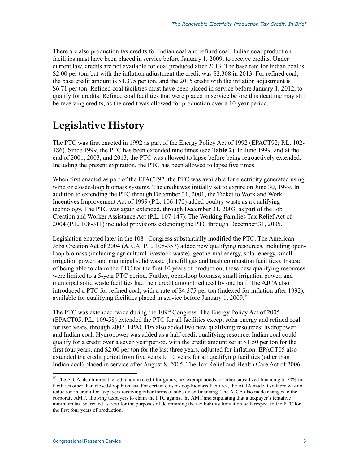There are also production tax credits for Indian coal and refined coal. Indian coal production facilities must have been placed in service before January 1, 2009, to receive credits. Under current law, credits are not available for coal produced after 2013. The base rate for Indian coal is \$2.00 per ton, but with the inflation adjustment the credit was \$2.308 in 2013. For refined coal, the base credit amount is \$4.375 per ton, and the 2015 credit with the inflation adjustment is \$6.71 per ton. Refined coal facilities must have been placed in service before January 1, 2012, to qualify for credits. Refined coal facilities that were placed in service before this deadline may still be receiving credits, as the credit was allowed for production over a 10-year period.

### **Legislative History**

The PTC was first enacted in 1992 as part of the Energy Policy Act of 1992 (EPACT92; P.L. 102- 486). Since 1999, the PTC has been extended nine times (see **Table 2**). In June 1999, and at the end of 2001, 2003, and 2013, the PTC was allowed to lapse before being retroactively extended. Including the present expiration, the PTC has been allowed to lapse five times.

When first enacted as part of the EPACT92, the PTC was available for electricity generated using wind or closed-loop biomass systems. The credit was initially set to expire on June 30, 1999. In addition to extending the PTC through December 31, 2001, the Ticket to Work and Work Incentives Improvement Act of 1999 (P.L. 106-170) added poultry waste as a qualifying technology. The PTC was again extended, through December 31, 2003, as part of the Job Creation and Worker Assistance Act (P.L. 107-147). The Working Families Tax Relief Act of 2004 (P.L. 108-311) included provisions extending the PTC through December 31, 2005.

Legislation enacted later in the  $108<sup>th</sup>$  Congress substantially modified the PTC. The American Jobs Creation Act of 2004 (AJCA; P.L. 108-357) added new qualifying resources, including openloop biomass (including agricultural livestock waste), geothermal energy, solar energy, small irrigation power, and municipal solid waste (landfill gas and trash combustion facilities). Instead of being able to claim the PTC for the first 10 years of production, these new qualifying resources were limited to a 5-year PTC period. Further, open-loop biomass, small irrigation power, and municipal solid waste facilities had their credit amount reduced by one half. The AJCA also introduced a PTC for refined coal, with a rate of \$4.375 per ton (indexed for inflation after 1992), available for qualifying facilities placed in service before January 1, 2009.<sup>10</sup>

The PTC was extended twice during the  $109<sup>th</sup>$  Congress. The Energy Policy Act of 2005 (EPACT05; P.L. 109-58) extended the PTC for all facilities except solar energy and refined coal for two years, through 2007. EPACT05 also added two new qualifying resources: hydropower and Indian coal. Hydropower was added as a half-credit qualifying resource. Indian coal could qualify for a credit over a seven year period, with the credit amount set at \$1.50 per ton for the first four years, and \$2.00 per ton for the last three years, adjusted for inflation. EPACT05 also extended the credit period from five years to 10 years for all qualifying facilities (other than Indian coal) placed in service after August 8, 2005. The Tax Relief and Health Care Act of 2006

<sup>&</sup>lt;sup>10</sup> The AJCA also limited the reduction in credit for grants, tax-exempt bonds, or other subsidized financing to 50% for facilities other than closed-loop biomass. For certain closed-loop biomass facilities, the ACJA made it so there was no reduction in credit for taxpayers receiving other forms of subsidized financing. The AJCA also made changes to the corporate AMT, allowing taxpayers to claim the PTC against the AMT and stipulating that a taxpayer's tentative minimum tax be treated as zero for the purposes of determining the tax liability limitation with respect to the PTC for the first four years of production.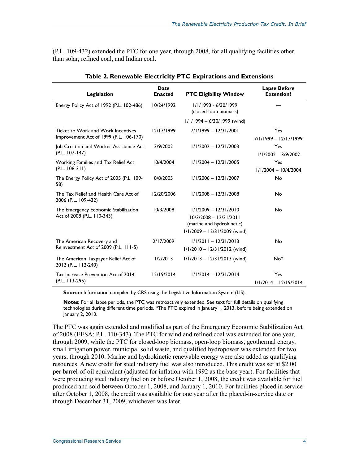(P.L. 109-432) extended the PTC for one year, through 2008, for all qualifying facilities other than solar, refined coal, and Indian coal.

| Legislation                                                                  | Date<br><b>Enacted</b> | <b>PTC Eligibility Window</b>                                                                                      | <b>Lapse Before</b><br><b>Extension?</b> |
|------------------------------------------------------------------------------|------------------------|--------------------------------------------------------------------------------------------------------------------|------------------------------------------|
| Energy Policy Act of 1992 (P.L. 102-486)                                     | 10/24/1992             | 1/1/1993 - 6/30/1999<br>(closed-loop biomass)                                                                      |                                          |
|                                                                              |                        | $1/1/1994 - 6/30/1999$ (wind)                                                                                      |                                          |
| Ticket to Work and Work Incentives<br>Improvement Act of 1999 (P.L. 106-170) | 12/17/1999             | $7/1/1999 - 12/31/2001$                                                                                            | Yes<br>$7/1/1999 - 12/17/1999$           |
| Job Creation and Worker Assistance Act<br>$(P.L. 107-147)$                   | 3/9/2002               | $1/1/2002 - 12/31/2003$                                                                                            | Yes<br>$1/1/2002 - 3/9/2002$             |
| Working Families and Tax Relief Act<br>$(P.L. 108-311)$                      | 10/4/2004              | $1/1/2004 - 12/31/2005$                                                                                            | Yes<br>$1/1/2004 - 10/4/2004$            |
| The Energy Policy Act of 2005 (P.L. 109-<br>58)                              | 8/8/2005               | $1/1/2006 - 12/31/2007$                                                                                            | No                                       |
| The Tax Relief and Health Care Act of<br>2006 (P.L. 109-432)                 | 12/20/2006             | $1/1/2008 - 12/31/2008$                                                                                            | No                                       |
| The Emergency Economic Stabilization<br>Act of 2008 (P.L. 110-343)           | 10/3/2008              | $1/1/2009 - 12/31/2010$<br>$10/3/2008 - 12/31/2011$<br>(marine and hydrokinetic)<br>$1/1/2009 - 12/31/2009$ (wind) | No                                       |
| The American Recovery and<br>Reinvestment Act of 2009 (P.L. 111-5)           | 2/17/2009              | $1/1/2011 - 12/31/2013$<br>$1/1/2010 - 12/31/2012$ (wind)                                                          | No                                       |
| The American Taxpayer Relief Act of<br>2012 (P.L. 112-240)                   | 1/2/2013               | $1/1/2013 - 12/31/2013$ (wind)                                                                                     | $No*$                                    |
| Tax Increase Prevention Act of 2014<br>(P.L. 113-295)                        | 12/19/2014             | $1/1/2014 - 12/31/2014$                                                                                            | Yes<br>$1/1/2014 - 12/19/2014$           |

**Table 2. Renewable Electricity PTC Expirations and Extensions** 

**Source:** Information compiled by CRS using the Legislative Information System (LIS).

**Notes:** For all lapse periods, the PTC was retroactively extended. See text for full details on qualifying technologies during different time periods. \*The PTC expired in January 1, 2013, before being extended on January 2, 2013.

The PTC was again extended and modified as part of the Emergency Economic Stabilization Act of 2008 (EESA; P.L. 110-343). The PTC for wind and refined coal was extended for one year, through 2009, while the PTC for closed-loop biomass, open-loop biomass, geothermal energy, small irrigation power, municipal solid waste, and qualified hydropower was extended for two years, through 2010. Marine and hydrokinetic renewable energy were also added as qualifying resources. A new credit for steel industry fuel was also introduced. This credit was set at \$2.00 per barrel-of-oil equivalent (adjusted for inflation with 1992 as the base year). For facilities that were producing steel industry fuel on or before October 1, 2008, the credit was available for fuel produced and sold between October 1, 2008, and January 1, 2010. For facilities placed in service after October 1, 2008, the credit was available for one year after the placed-in-service date or through December 31, 2009, whichever was later.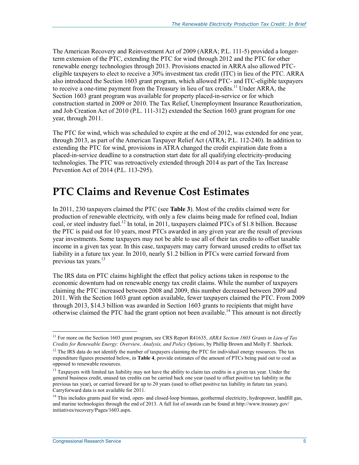The American Recovery and Reinvestment Act of 2009 (ARRA; P.L. 111-5) provided a longerterm extension of the PTC, extending the PTC for wind through 2012 and the PTC for other renewable energy technologies through 2013. Provisions enacted in ARRA also allowed PTCeligible taxpayers to elect to receive a 30% investment tax credit (ITC) in lieu of the PTC. ARRA also introduced the Section 1603 grant program, which allowed PTC- and ITC-eligible taxpayers to receive a one-time payment from the Treasury in lieu of tax credits.<sup>11</sup> Under ARRA, the Section 1603 grant program was available for property placed-in-service or for which construction started in 2009 or 2010. The Tax Relief, Unemployment Insurance Reauthorization, and Job Creation Act of 2010 (P.L. 111-312) extended the Section 1603 grant program for one year, through 2011.

The PTC for wind, which was scheduled to expire at the end of 2012, was extended for one year, through 2013, as part of the American Taxpayer Relief Act (ATRA; P.L. 112-240). In addition to extending the PTC for wind, provisions in ATRA changed the credit expiration date from a placed-in-service deadline to a construction start date for all qualifying electricity-producing technologies. The PTC was retroactively extended through 2014 as part of the Tax Increase Prevention Act of 2014 (P.L. 113-295).

### **PTC Claims and Revenue Cost Estimates**

In 2011, 230 taxpayers claimed the PTC (see **Table 3**). Most of the credits claimed were for production of renewable electricity, with only a few claims being made for refined coal, Indian coal, or steel industry fuel.<sup>12</sup> In total, in 2011, taxpayers claimed PTCs of \$1.8 billion. Because the PTC is paid out for 10 years, most PTCs awarded in any given year are the result of previous year investments. Some taxpayers may not be able to use all of their tax credits to offset taxable income in a given tax year. In this case, taxpayers may carry forward unused credits to offset tax liability in a future tax year. In 2010, nearly \$1.2 billion in PTCs were carried forward from previous tax years.<sup>13</sup>

The IRS data on PTC claims highlight the effect that policy actions taken in response to the economic downturn had on renewable energy tax credit claims. While the number of taxpayers claiming the PTC increased between 2008 and 2009, this number decreased between 2009 and 2011. With the Section 1603 grant option available, fewer taxpayers claimed the PTC. From 2009 through 2013, \$14.3 billion was awarded in Section 1603 grants to recipients that might have otherwise claimed the PTC had the grant option not been available.<sup>14</sup> This amount is not directly

<sup>11</sup> For more on the Section 1603 grant program, see CRS Report R41635, *ARRA Section 1603 Grants in Lieu of Tax Credits for Renewable Energy: Overview, Analysis, and Policy Options*, by Phillip Brown and Molly F. Sherlock.

 $12$  The IRS data do not identify the number of taxpayers claiming the PTC for individual energy resources. The tax expenditure figures presented below, in **Table 4**, provide estimates of the amount of PTCs being paid out to coal as opposed to renewable resources.

<sup>&</sup>lt;sup>13</sup> Taxpayers with limited tax liability may not have the ability to claim tax credits in a given tax year. Under the general business credit, unused tax credits can be carried back one year (used to offset positive tax liability in the previous tax year), or carried forward for up to 20 years (used to offset positive tax liability in future tax years). Carryforward data is not available for 2011.

<sup>&</sup>lt;sup>14</sup> This includes grants paid for wind, open- and closed-loop biomass, geothermal electricity, hydropower, landfill gas, and marine technologies through the end of 2013. A full list of awards can be found at http://www.treasury.gov/ initiatives/recovery/Pages/1603.aspx.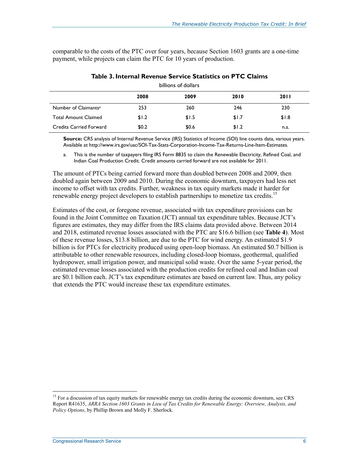comparable to the costs of the PTC over four years, because Section 1603 grants are a one-time payment, while projects can claim the PTC for 10 years of production.

|                                  |       | billions of dollars |       |             |
|----------------------------------|-------|---------------------|-------|-------------|
|                                  | 2008  | 2009                | 2010  | <b>2011</b> |
| Number of Claimants <sup>a</sup> | 253   | 260                 | 246   | 230         |
| <b>Total Amount Claimed</b>      | \$1.2 | \$1.5               | \$1.7 | \$1.8       |
| <b>Credits Carried Forward</b>   | \$0.2 | \$0.6               | \$1.2 | n.a.        |

**Table 3. Internal Revenue Service Statistics on PTC Claims** 

**Source:** CRS analysis of Internal Revenue Service (IRS) Statistics of Income (SOI) line counts data, various years. Available at http://www.irs.gov/uac/SOI-Tax-Stats-Corporation-Income-Tax-Returns-Line-Item-Estimates.

a. This is the number of taxpayers filing IRS Form 8835 to claim the Renewable Electricity, Refined Coal, and Indian Coal Production Credit. Credit amounts carried forward are not available for 2011.

The amount of PTCs being carried forward more than doubled between 2008 and 2009, then doubled again between 2009 and 2010. During the economic downturn, taxpayers had less net income to offset with tax credits. Further, weakness in tax equity markets made it harder for renewable energy project developers to establish partnerships to monetize tax credits.<sup>15</sup>

Estimates of the cost, or foregone revenue, associated with tax expenditure provisions can be found in the Joint Committee on Taxation (JCT) annual tax expenditure tables. Because JCT's figures are estimates, they may differ from the IRS claims data provided above. Between 2014 and 2018, estimated revenue losses associated with the PTC are \$16.6 billion (see **Table 4**). Most of these revenue losses, \$13.8 billion, are due to the PTC for wind energy. An estimated \$1.9 billion is for PTCs for electricity produced using open-loop biomass. An estimated \$0.7 billion is attributable to other renewable resources, including closed-loop biomass, geothermal, qualified hydropower, small irrigation power, and municipal solid waste. Over the same 5-year period, the estimated revenue losses associated with the production credits for refined coal and Indian coal are \$0.1 billion each. JCT's tax expenditure estimates are based on current law. Thus, any policy that extends the PTC would increase these tax expenditure estimates.

<sup>&</sup>lt;sup>15</sup> For a discussion of tax equity markets for renewable energy tax credits during the economic downturn, see CRS Report R41635, *ARRA Section 1603 Grants in Lieu of Tax Credits for Renewable Energy: Overview, Analysis, and Policy Options*, by Phillip Brown and Molly F. Sherlock.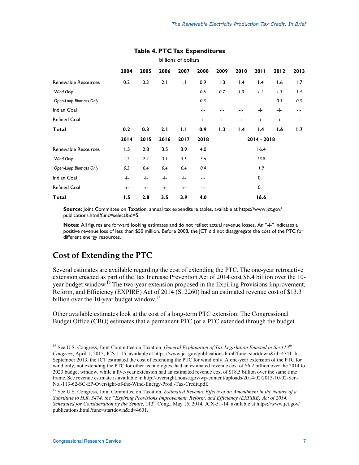| billions of dollars    |      |      |      |      |      |      |      |                 |      |      |
|------------------------|------|------|------|------|------|------|------|-----------------|------|------|
|                        | 2004 | 2005 | 2006 | 2007 | 2008 | 2009 | 2010 | 2011            | 2012 | 2013 |
| Renewable Resources    | 0.2  | 0.3  | 2.1  | 1.1  | 0.9  | 1.3  | 1.4  | $\mathsf{I}$ .4 | 1.6  | 1.7  |
| Wind Only              |      |      |      |      | 0.6  | 0.7  | 1.0  | 1.1             | 1.3  | 1.4  |
| Open-Loop Biomass Only |      |      |      |      | 0.3  |      |      |                 | 0.3  | 0.3  |
| Indian Coal            |      |      |      |      | -j-  | -i-  | -i-  | -i-             | -i-  | -i-  |
| <b>Refined Coal</b>    |      |      |      |      | -i-  | -i-  | -i-  | -i-             | -i-  | -i-  |
| Total                  | 0.2  | 0.3  | 2.1  | 1.1  | 0.9  | 1.3  | 1.4  | 1.4             | 1.6  | 1.7  |
|                        | 2014 | 2015 | 2016 | 2017 | 2018 |      |      | $2014 - 2018$   |      |      |
| Renewable Resources    | 1.5  | 2.8  | 3.5  | 3.9  | 4.0  |      |      | 16.4            |      |      |
| Wind Only              | 1.2  | 2.4  | 3.1  | 3.5  | 3.6  |      |      | 13.8            |      |      |
| Open-Loop Biomass Only | 0.3  | 0.4  | 0.4  | 0.4  | 0.4  |      |      | 1.9             |      |      |
| Indian Coal            | -j-  | -i-  | -i-  | -i-  | -i-  |      |      | 0.1             |      |      |
| <b>Refined Coal</b>    | -i-  | -i-  | -i-  | -i-  | -i-  |      |      | 0.1             |      |      |
| <b>Total</b>           | 1.5  | 2.8  | 3.5  | 3.9  | 4.0  |      |      | 16.6            |      |      |

#### **Table 4. PTC Tax Expenditures**

**Source:** Joint Committee on Taxation, annual tax expenditure tables, available at https://www.jct.gov/ publications.html?func=select&id=5.

**Notes:** All figures are forward looking estimates and do not reflect actual revenue losses. An "-i-" indicates a positive revenue loss of less than \$50 million. Before 2008, the JCT did not disaggregate the cost of the PTC for different energy resources.

#### **Cost of Extending the PTC**

Several estimates are available regarding the cost of extending the PTC. The one-year retroactive extension enacted as part of the Tax Increase Prevention Act of 2014 cost \$6.4 billion over the 10 year budget window.<sup>16</sup> The two-year extension proposed in the Expiring Provisions Improvement, Reform, and Efficiency (EXPIRE) Act of 2014 (S. 2260) had an estimated revenue cost of \$13.3 billion over the 10-year budget window.<sup>17</sup>

Other available estimates look at the cost of a long-term PTC extension. The Congressional Budget Office (CBO) estimates that a permanent PTC (or a PTC extended through the budget

<u>.</u>

<sup>16</sup> See U.S. Congress, Joint Committee on Taxation, *General Explanation of Tax Legislation Enacted in the 113th Congress*, April 1, 2015, JCS-1-15, available at https://www.jct.gov/publications.html?func=startdown&id=4741. In September 2013, the JCT estimated the cost of extending the PTC for wind only. A one-year extension of the PTC for wind only, not extending the PTC for other technologies, had an estimated revenue cost of \$6.2 billion over the 2014 to 2023 budget window, while a five-year extension had an estimated revenue cost of \$18.5 billion over the same time frame. See revenue estimate is available in http://oversight.house.gov/wp-content/uploads/2014/02/2013-10-02-Ser.- No.-113-62-SC-EP-Oversight-of-the-Wind-Energy-Prod.-Tax-Credit.pdf.

<sup>&</sup>lt;sup>17</sup> See U.S. Congress, Joint Committee on Taxation, *Estimated Revenue Effects of an Amendment in the Nature of a Substitute to H.R. 3474, the "Expiring Provisions Improvement, Reform, and Efficiency (EXPIRE) Act of 2014," Scheduled for Consideration by the Senate*, 113th Cong., May 15, 2014, JCX-51-14, available at https://www.jct.gov/ publications.html?func=startdown&id=4601.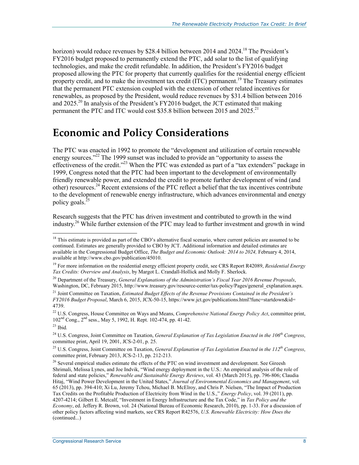horizon) would reduce revenues by \$28.4 billion between 2014 and 2024.<sup>18</sup> The President's FY2016 budget proposed to permanently extend the PTC, add solar to the list of qualifying technologies, and make the credit refundable. In addition, the President's FY2016 budget proposed allowing the PTC for property that currently qualifies for the residential energy efficient property credit, and to make the investment tax credit ( $\overline{ITC}$ ) permanent.<sup>19</sup> The Treasury estimates that the permanent PTC extension coupled with the extension of other related incentives for renewables, as proposed by the President, would reduce revenues by \$31.4 billion between 2016 and  $2025$ <sup>20</sup> In analysis of the President's FY2016 budget, the JCT estimated that making permanent the PTC and ITC would cost \$35.8 billion between 2015 and 2025.<sup>21</sup>

### **Economic and Policy Considerations**

The PTC was enacted in 1992 to promote the "development and utilization of certain renewable energy sources."<sup>22</sup> The 1999 sunset was included to provide an "opportunity to assess the effectiveness of the credit."<sup>23</sup> When the PTC was extended as part of a "tax extenders" package in 1999, Congress noted that the PTC had been important to the development of environmentally friendly renewable power, and extended the credit to promote further development of wind (and other) resources.24 Recent extensions of the PTC reflect a belief that the tax incentives contribute to the development of renewable energy infrastructure, which advances environmental and energy policy goals. $^{25}$ 

Research suggests that the PTC has driven investment and contributed to growth in the wind industry.26 While further extension of the PTC may lead to further investment and growth in wind

 $18$  This estimate is provided as part of the CBO's alternative fiscal scenario, where current policies are assumed to be continued. Estimates are generally provided to CBO by JCT. Additional information and detailed estimates are available in the Congressional Budget Office, *The Budget and Economic Outlook: 2014 to 2024,* February 4, 2014, available at http://www.cbo.gov/publication/45010.

<sup>19</sup> For more information on the residential energy efficient property credit, see CRS Report R42089, *Residential Energy Tax Credits: Overview and Analysis*, by Margot L. Crandall-Hollick and Molly F. Sherlock.

<sup>20</sup> Department of the Treasury, *General Explanations of the Administration's Fiscal Year 2016 Revenue Proposals*, Washington, DC, February 2015, http://www.treasury.gov/resource-center/tax-policy/Pages/general\_explanation.aspx.

<sup>21</sup> Joint Committee on Taxation, *Estimated Budget Effects of the Revenue Provisions Contained in the President's FY2016 Budget Proposal*, March 6, 2015, JCX-50-15, https://www.jct.gov/publications.html?func=startdown&id= 4739.

<sup>22</sup> U.S. Congress, House Committee on Ways and Means, *Comprehensive National Energy Policy Act*, committee print, 102nd Cong., 2nd sess., May 5, 1992, H. Rept. 102-474, pp. 41-42.

<sup>23</sup> Ibid*.*

<sup>&</sup>lt;sup>24</sup> U.S. Congress, Joint Committee on Taxation, *General Explanation of Tax Legislation Enacted in the 106<sup>th</sup> Congress*, committee print, April 19, 2001, JCS-2-01, p. 25.

<sup>&</sup>lt;sup>25</sup> U.S. Congress, Joint Committee on Taxation, *General Explanation of Tax Legislation Enacted in the 112<sup>th</sup> Congress*, committee print, February 2013, JCS-2-13, pp. 212-213.

<sup>&</sup>lt;sup>26</sup> Several empirical studies estimate the effects of the PTC on wind investment and development. See Gireesh Shrimali, Melissa Lynes, and Joe Indvik, "Wind energy deployment in the U.S.: An empirical analysis of the role of federal and state policies," *Renewable and Sustainable Energy Reviews*, vol. 43 (March 2015), pp. 796-806; Claudia Hitaj, "Wind Power Development in the United States," *Journal of Environmental Economics and Management*, vol. 65 (2013), pp. 394-410; Xi Lu, Jeremy Tchou, Michael B. McElroy, and Chris P. Nielsen, "The Impact of Production Tax Credits on the Profitable Production of Electricity from Wind in the U.S.," *Energy Policy*, vol. 39 (2011), pp. 4207-4214; Gilbert E. Metcalf, "Investment in Energy Infrastructure and the Tax Code," in *Tax Policy and the Economy*, ed. Jeffery R. Brown, vol. 24 (National Bureau of Economic Research, 2010), pp. 1-33. For a discussion of other policy factors affecting wind markets, see CRS Report R42576, *U.S. Renewable Electricity: How Does the*  (continued...)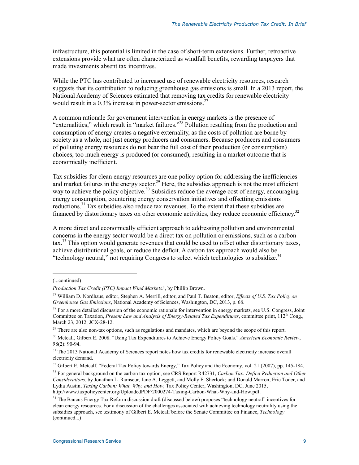infrastructure, this potential is limited in the case of short-term extensions. Further, retroactive extensions provide what are often characterized as windfall benefits, rewarding taxpayers that made investments absent tax incentives.

While the PTC has contributed to increased use of renewable electricity resources, research suggests that its contribution to reducing greenhouse gas emissions is small. In a 2013 report, the National Academy of Sciences estimated that removing tax credits for renewable electricity would result in a  $0.3\%$  increase in power-sector emissions.<sup>27</sup>

A common rationale for government intervention in energy markets is the presence of "externalities," which result in "market failures."28 Pollution resulting from the production and consumption of energy creates a negative externality, as the costs of pollution are borne by society as a whole, not just energy producers and consumers. Because producers and consumers of polluting energy resources do not bear the full cost of their production (or consumption) choices, too much energy is produced (or consumed), resulting in a market outcome that is economically inefficient.

Tax subsidies for clean energy resources are one policy option for addressing the inefficiencies and market failures in the energy sector.<sup>29</sup> Here, the subsidies approach is not the most efficient way to achieve the policy objective.<sup>30</sup> Subsidies reduce the average cost of energy, encouraging energy consumption, countering energy conservation initiatives and offsetting emissions reductions.<sup>31</sup> Tax subsidies also reduce tax revenues. To the extent that these subsidies are financed by distortionary taxes on other economic activities, they reduce economic efficiency.32

A more direct and economically efficient approach to addressing pollution and environmental concerns in the energy sector would be a direct tax on pollution or emissions, such as a carbon  $\text{tax}^{33}$ . This option would generate revenues that could be used to offset other distortionary taxes, achieve distributional goals, or reduce the deficit. A carbon tax approach would also be "technology neutral," not requiring Congress to select which technologies to subsidize.<sup>34</sup>

<sup>(...</sup>continued)

*Production Tax Credit (PTC) Impact Wind Markets?*, by Phillip Brown.

<sup>27</sup> William D. Nordhaus, editor, Stephen A. Merrill, editor, and Paul T. Beaton, editor, *Effects of U.S. Tax Policy on Greenhouse Gas Emissions*, National Academy of Sciences, Washington, DC, 2013, p. 68.

 $28$  For a more detailed discussion of the economic rationale for intervention in energy markets, see U.S. Congress, Joint Committee on Taxation, *Present Law and Analysis of Energy-Related Tax Expenditures*, committee print, 112th Cong., March 23, 2012, JCX-28-12.

<sup>&</sup>lt;sup>29</sup> There are also non-tax options, such as regulations and mandates, which are beyond the scope of this report.

<sup>30</sup> Metcalf, Gilbert E. 2008. "Using Tax Expenditures to Achieve Energy Policy Goals." *American Economic Review*, 98(2): 90-94.

<sup>&</sup>lt;sup>31</sup> The 2013 National Academy of Sciences report notes how tax credits for renewable electricity increase overall electricity demand.

<sup>&</sup>lt;sup>32</sup> Gilbert E. Metcalf, "Federal Tax Policy towards Energy," Tax Policy and the Economy, vol. 21 (2007), pp. 145-184.

<sup>33</sup> For general background on the carbon tax option, see CRS Report R42731, *Carbon Tax: Deficit Reduction and Other Considerations*, by Jonathan L. Ramseur, Jane A. Leggett, and Molly F. Sherlock; and Donald Marron, Eric Toder, and Lydia Austin, *Taxing Carbon: What, Why, and How*, Tax Policy Center, Washington, DC, June 2015, http://www.taxpolicycenter.org/UploadedPDF/2000274-Taxing-Carbon-What-Why-and-How.pdf.

<sup>&</sup>lt;sup>34</sup> The Baucus Energy Tax Reform discussion draft (discussed below) proposes "technology neutral" incentives for clean energy resources. For a discussion of the challenges associated with achieving technology neutrality using the subsidies approach, see testimony of Gilbert E. Metcalf before the Senate Committee on Finance, *Technology*  (continued...)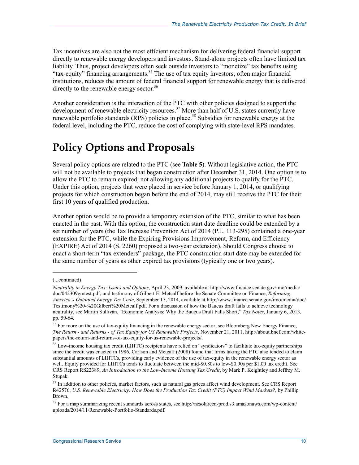Tax incentives are also not the most efficient mechanism for delivering federal financial support directly to renewable energy developers and investors. Stand-alone projects often have limited tax liability. Thus, project developers often seek outside investors to "monetize" tax benefits using "tax-equity" financing arrangements.<sup>35</sup> The use of tax equity investors, often major financial institutions, reduces the amount of federal financial support for renewable energy that is delivered directly to the renewable energy sector.<sup>36</sup>

Another consideration is the interaction of the PTC with other policies designed to support the development of renewable electricity resources.<sup>37</sup> More than half of U.S. states currently have renewable portfolio standards (RPS) policies in place.<sup>38</sup> Subsidies for renewable energy at the federal level, including the PTC, reduce the cost of complying with state-level RPS mandates.

## **Policy Options and Proposals**

Several policy options are related to the PTC (see **Table 5**). Without legislative action, the PTC will not be available to projects that began construction after December 31, 2014. One option is to allow the PTC to remain expired, not allowing any additional projects to qualify for the PTC. Under this option, projects that were placed in service before January 1, 2014, or qualifying projects for which construction began before the end of 2014, may still receive the PTC for their first 10 years of qualified production.

Another option would be to provide a temporary extension of the PTC, similar to what has been enacted in the past. With this option, the construction start date deadline could be extended by a set number of years (the Tax Increase Prevention Act of 2014 (P.L. 113-295) contained a one-year extension for the PTC, while the Expiring Provisions Improvement, Reform, and Efficiency (EXPIRE) Act of 2014 (S. 2260) proposed a two-year extension). Should Congress choose to enact a short-term "tax extenders" package, the PTC construction start date may be extended for the same number of years as other expired tax provisions (typically one or two years).

<sup>(...</sup>continued)

*Neutrality in Energy Tax: Issues and Options*, April 23, 2009, available at http://www.finance.senate.gov/imo/media/ doc/042309gmtest.pdf; and testimony of Gilbert E. Metcalf before the Senate Committee on Finance, *Reforming America's Outdated Energy Tax Code*, September 17, 2014, available at http://www.finance.senate.gov/imo/media/doc/ Testimony%20-%20Gilbert%20Metcalf.pdf. For a discussion of how the Baucus draft fails to achieve technology neutrality, see Martin Sullivan, "Economic Analysis: Why the Baucus Draft Falls Short," *Tax Notes*, January 6, 2013, pp. 59-64.

<sup>&</sup>lt;sup>35</sup> For more on the use of tax-equity financing in the renewable energy sector, see Bloomberg New Energy Finance, *The Return - and Returns - of Tax Equity for US Renewable Projects*, November 21, 2011, http://about.bnef.com/whitepapers/the-return-and-returns-of-tax-equity-for-us-renewable-projects/.

<sup>&</sup>lt;sup>36</sup> Low-income housing tax credit (LIHTC) recipients have relied on "syndicators" to facilitate tax-equity partnerships since the credit was enacted in 1986. Carlson and Metcalf (2008) found that firms taking the PTC also tended to claim substantial amounts of LIHTCs, providing early evidence of the use of tax-equity in the renewable energy sector as well. Equity provided for LIHTCs tends to fluctuate between the mid-\$0.80s to low-\$0.90s per \$1.00 tax credit. See CRS Report RS22389, *An Introduction to the Low-Income Housing Tax Credit*, by Mark P. Keightley and Jeffrey M. Stupak.

<sup>&</sup>lt;sup>37</sup> In addition to other policies, market factors, such as natural gas prices affect wind development. See CRS Report R42576, *U.S. Renewable Electricity: How Does the Production Tax Credit (PTC) Impact Wind Markets?*, by Phillip Brown.

<sup>38</sup> For a map summarizing recent standards across states, see http://ncsolarcen-prod.s3.amazonaws.com/wp-content/ uploads/2014/11/Renewable-Portfolio-Standards.pdf.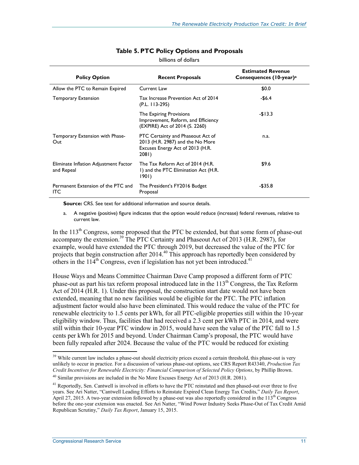| <b>Policy Option</b>                                | <b>Recent Proposals</b>                                                                                            | <b>Estimated Revenue</b><br>Consequences (10-year) <sup>a</sup> |
|-----------------------------------------------------|--------------------------------------------------------------------------------------------------------------------|-----------------------------------------------------------------|
| Allow the PTC to Remain Expired                     | Current Law                                                                                                        | \$0.0                                                           |
| <b>Temporary Extension</b>                          | Tax Increase Prevention Act of 2014<br>$(P.L. 113-295)$                                                            | -\$6.4                                                          |
|                                                     | The Expiring Provisions<br>Improvement, Reform, and Efficiency<br>(EXPIRE) Act of 2014 (S. 2260)                   | $-$13.3$                                                        |
| Temporary Extension with Phase-<br>Out              | PTC Certainty and Phaseout Act of<br>2013 (H.R. 2987) and the No More<br>Excuses Energy Act of 2013 (H.R.<br>208I) | n.a.                                                            |
| Eliminate Inflation Adjustment Factor<br>and Repeal | The Tax Reform Act of 2014 (H.R.<br>I) and the PTC Elimination Act (H.R.<br>1901)                                  | \$9.6                                                           |
| Permanent Extension of the PTC and<br>ITC           | The President's FY2016 Budget<br>Proposal                                                                          | $-$ \$35.8                                                      |

#### **Table 5. PTC Policy Options and Proposals**

billions of dollars

**Source:** CRS. See text for additional information and source details.

a. A negative (positive) figure indicates that the option would reduce (increase) federal revenues, relative to current law.

In the  $113<sup>th</sup>$  Congress, some proposed that the PTC be extended, but that some form of phase-out accompany the extension.<sup>39</sup> The PTC Certainty and Phaseout Act of 2013 (H.R. 2987), for example, would have extended the PTC through 2019, but decreased the value of the PTC for projects that begin construction after 2014.<sup>40</sup> This approach has reportedly been considered by others in the  $114<sup>th</sup>$  Congress, even if legislation has not yet been introduced.<sup>41</sup>

House Ways and Means Committee Chairman Dave Camp proposed a different form of PTC phase-out as part his tax reform proposal introduced late in the  $113<sup>th</sup>$  Congress, the Tax Reform Act of 2014 (H.R. 1). Under this proposal, the construction start date would not have been extended, meaning that no new facilities would be eligible for the PTC. The PTC inflation adjustment factor would also have been eliminated. This would reduce the value of the PTC for renewable electricity to 1.5 cents per kWh, for all PTC-eligible properties still within the 10-year eligibility window. Thus, facilities that had received a 2.3 cent per kWh PTC in 2014, and were still within their 10-year PTC window in 2015, would have seen the value of the PTC fall to 1.5 cents per kWh for 2015 and beyond. Under Chairman Camp's proposal, the PTC would have been fully repealed after 2024. Because the value of the PTC would be reduced for existing

<sup>&</sup>lt;sup>39</sup> While current law includes a phase-out should electricity prices exceed a certain threshold, this phase-out is very unlikely to occur in practice. For a discussion of various phase-out options, see CRS Report R43340, *Production Tax Credit Incentives for Renewable Electricity: Financial Comparison of Selected Policy Options*, by Phillip Brown.

<sup>40</sup> Similar provisions are included in the No More Excuses Energy Act of 2013 (H.R. 2081).

<sup>&</sup>lt;sup>41</sup> Reportedly, Sen. Cantwell is involved in efforts to have the PTC reinstated and then phased-out over three to five years. See Ari Natter, "Cantwell Leading Efforts to Reinstate Expired Clean Energy Tax Credits," *Daily Tax Report*, April 27, 2015. A two-year extension followed by a phase-out was also reportedly considered in the 113<sup>th</sup> Congress before the one-year extension was enacted. See Ari Natter, "Wind Power Industry Seeks Phase-Out of Tax Credit Amid Republican Scrutiny," *Daily Tax Report*, January 15, 2015.